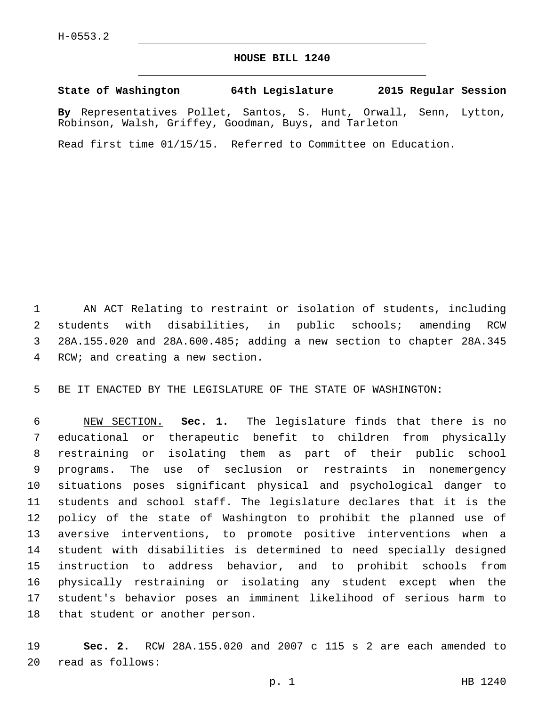## **HOUSE BILL 1240**

**State of Washington 64th Legislature 2015 Regular Session**

**By** Representatives Pollet, Santos, S. Hunt, Orwall, Senn, Lytton, Robinson, Walsh, Griffey, Goodman, Buys, and Tarleton

Read first time 01/15/15. Referred to Committee on Education.

 AN ACT Relating to restraint or isolation of students, including students with disabilities, in public schools; amending RCW 28A.155.020 and 28A.600.485; adding a new section to chapter 28A.345 4 RCW; and creating a new section.

BE IT ENACTED BY THE LEGISLATURE OF THE STATE OF WASHINGTON:

 NEW SECTION. **Sec. 1.** The legislature finds that there is no educational or therapeutic benefit to children from physically restraining or isolating them as part of their public school programs. The use of seclusion or restraints in nonemergency situations poses significant physical and psychological danger to students and school staff. The legislature declares that it is the policy of the state of Washington to prohibit the planned use of aversive interventions, to promote positive interventions when a student with disabilities is determined to need specially designed instruction to address behavior, and to prohibit schools from physically restraining or isolating any student except when the student's behavior poses an imminent likelihood of serious harm to that student or another person.

 **Sec. 2.** RCW 28A.155.020 and 2007 c 115 s 2 are each amended to read as follows:20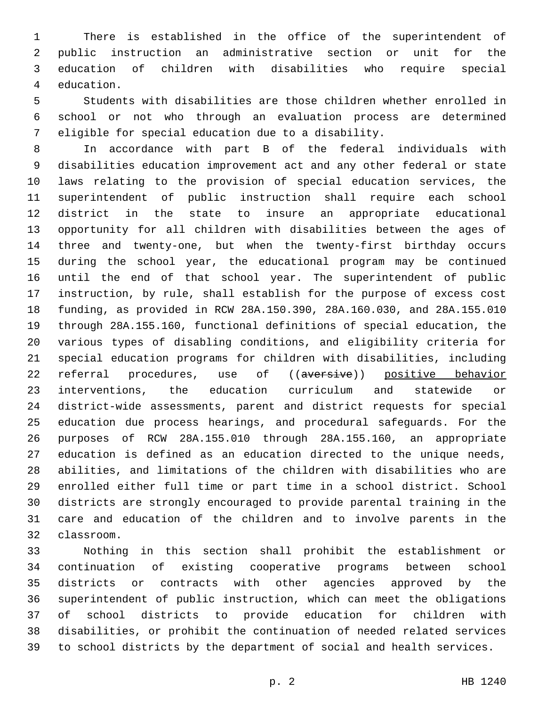There is established in the office of the superintendent of public instruction an administrative section or unit for the education of children with disabilities who require special 4 education.

 Students with disabilities are those children whether enrolled in school or not who through an evaluation process are determined eligible for special education due to a disability.

 In accordance with part B of the federal individuals with disabilities education improvement act and any other federal or state laws relating to the provision of special education services, the superintendent of public instruction shall require each school district in the state to insure an appropriate educational opportunity for all children with disabilities between the ages of three and twenty-one, but when the twenty-first birthday occurs during the school year, the educational program may be continued until the end of that school year. The superintendent of public instruction, by rule, shall establish for the purpose of excess cost funding, as provided in RCW 28A.150.390, 28A.160.030, and 28A.155.010 through 28A.155.160, functional definitions of special education, the various types of disabling conditions, and eligibility criteria for special education programs for children with disabilities, including 22 referral procedures, use of ((aversive)) positive behavior interventions, the education curriculum and statewide or district-wide assessments, parent and district requests for special education due process hearings, and procedural safeguards. For the purposes of RCW 28A.155.010 through 28A.155.160, an appropriate education is defined as an education directed to the unique needs, abilities, and limitations of the children with disabilities who are enrolled either full time or part time in a school district. School districts are strongly encouraged to provide parental training in the care and education of the children and to involve parents in the classroom.32

 Nothing in this section shall prohibit the establishment or continuation of existing cooperative programs between school districts or contracts with other agencies approved by the superintendent of public instruction, which can meet the obligations of school districts to provide education for children with disabilities, or prohibit the continuation of needed related services to school districts by the department of social and health services.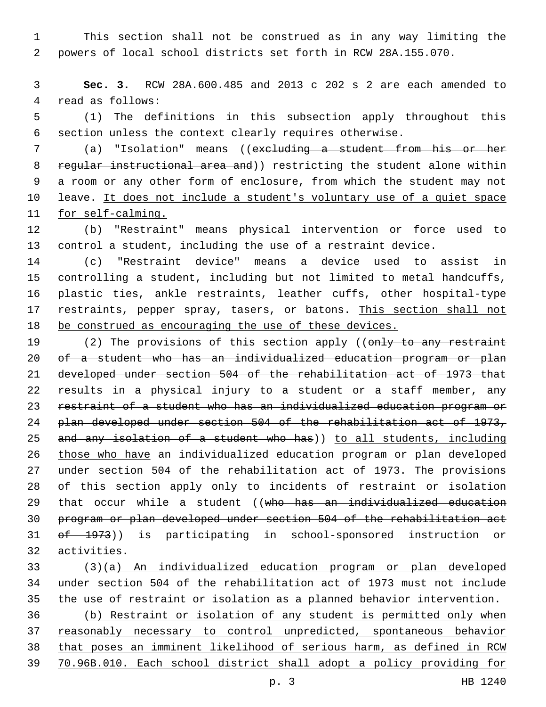This section shall not be construed as in any way limiting the powers of local school districts set forth in RCW 28A.155.070.

 **Sec. 3.** RCW 28A.600.485 and 2013 c 202 s 2 are each amended to 4 read as follows:

 (1) The definitions in this subsection apply throughout this section unless the context clearly requires otherwise.

 (a) "Isolation" means ((excluding a student from his or her 8 regular instructional area and)) restricting the student alone within a room or any other form of enclosure, from which the student may not 10 leave. It does not include a student's voluntary use of a quiet space for self-calming.

 (b) "Restraint" means physical intervention or force used to control a student, including the use of a restraint device.

 (c) "Restraint device" means a device used to assist in controlling a student, including but not limited to metal handcuffs, plastic ties, ankle restraints, leather cuffs, other hospital-type 17 restraints, pepper spray, tasers, or batons. This section shall not be construed as encouraging the use of these devices.

19 (2) The provisions of this section apply ((only to any restraint of a student who has an individualized education program or plan developed under section 504 of the rehabilitation act of 1973 that 22 results in a physical injury to a student or a staff member, any restraint of a student who has an individualized education program or plan developed under section 504 of the rehabilitation act of 1973, and any isolation of a student who has)) to all students, including those who have an individualized education program or plan developed under section 504 of the rehabilitation act of 1973. The provisions of this section apply only to incidents of restraint or isolation 29 that occur while a student ((who has an individualized education program or plan developed under section 504 of the rehabilitation act 31 of 1973)) is participating in school-sponsored instruction or activities.32

 (3)(a) An individualized education program or plan developed under section 504 of the rehabilitation act of 1973 must not include the use of restraint or isolation as a planned behavior intervention. (b) Restraint or isolation of any student is permitted only when reasonably necessary to control unpredicted, spontaneous behavior that poses an imminent likelihood of serious harm, as defined in RCW 70.96B.010. Each school district shall adopt a policy providing for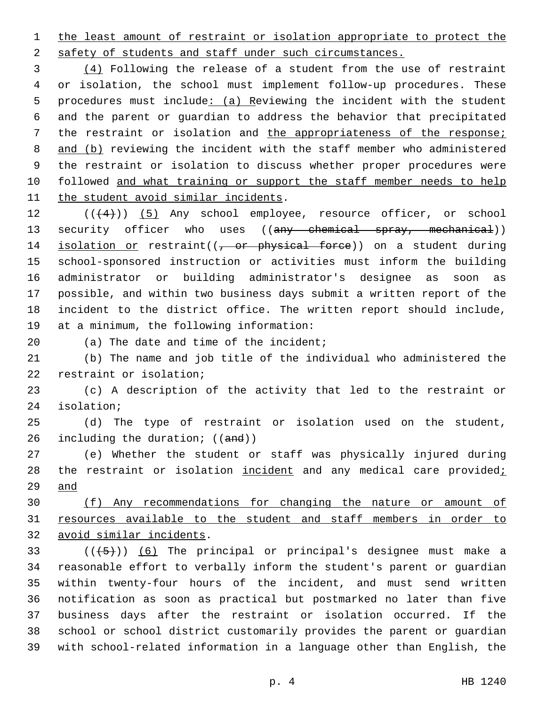1 the least amount of restraint or isolation appropriate to protect the 2 safety of students and staff under such circumstances.

 (4) Following the release of a student from the use of restraint or isolation, the school must implement follow-up procedures. These procedures must include: (a) Reviewing the incident with the student and the parent or guardian to address the behavior that precipitated the restraint or isolation and the appropriateness of the response; 8 and (b) reviewing the incident with the staff member who administered the restraint or isolation to discuss whether proper procedures were 10 followed and what training or support the staff member needs to help 11 the student avoid similar incidents.

12 (( $(4)$ )) (5) Any school employee, resource officer, or school 13 security officer who uses ((any chemical spray, mechanical)) 14 isolation or restraint((, or physical force)) on a student during 15 school-sponsored instruction or activities must inform the building 16 administrator or building administrator's designee as soon as 17 possible, and within two business days submit a written report of the 18 incident to the district office. The written report should include, 19 at a minimum, the following information:

 $(20)$  (a) The date and time of the incident;

21 (b) The name and job title of the individual who administered the 22 restraint or isolation;

23 (c) A description of the activity that led to the restraint or 24 isolation;

25 (d) The type of restraint or isolation used on the student, 26 including the duration;  $((and))$ 

27 (e) Whether the student or staff was physically injured during 28 the restraint or isolation incident and any medical care providedi 29 and

30 (f) Any recommendations for changing the nature or amount of 31 resources available to the student and staff members in order to 32 avoid similar incidents.

 $(1 + 5)$ ) (6) The principal or principal's designee must make a reasonable effort to verbally inform the student's parent or guardian within twenty-four hours of the incident, and must send written notification as soon as practical but postmarked no later than five business days after the restraint or isolation occurred. If the school or school district customarily provides the parent or guardian with school-related information in a language other than English, the